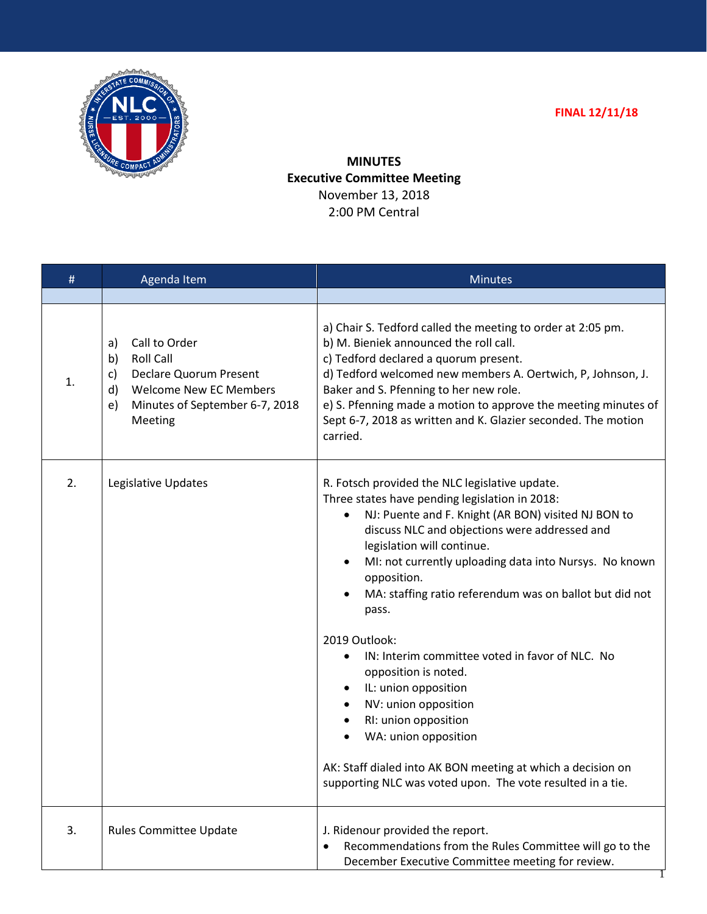



**MINUTES Executive Committee Meeting** November 13, 2018 2:00 PM Central

| #  | Agenda Item                                                                                                                                                             | <b>Minutes</b>                                                                                                                                                                                                                                                                                                                                                                                                                                                                                                                                                                                                                                                                                                                                |
|----|-------------------------------------------------------------------------------------------------------------------------------------------------------------------------|-----------------------------------------------------------------------------------------------------------------------------------------------------------------------------------------------------------------------------------------------------------------------------------------------------------------------------------------------------------------------------------------------------------------------------------------------------------------------------------------------------------------------------------------------------------------------------------------------------------------------------------------------------------------------------------------------------------------------------------------------|
|    |                                                                                                                                                                         |                                                                                                                                                                                                                                                                                                                                                                                                                                                                                                                                                                                                                                                                                                                                               |
| 1. | Call to Order<br>a)<br><b>Roll Call</b><br>b)<br>Declare Quorum Present<br>c)<br>d)<br><b>Welcome New EC Members</b><br>e)<br>Minutes of September 6-7, 2018<br>Meeting | a) Chair S. Tedford called the meeting to order at 2:05 pm.<br>b) M. Bieniek announced the roll call.<br>c) Tedford declared a quorum present.<br>d) Tedford welcomed new members A. Oertwich, P, Johnson, J.<br>Baker and S. Pfenning to her new role.<br>e) S. Pfenning made a motion to approve the meeting minutes of<br>Sept 6-7, 2018 as written and K. Glazier seconded. The motion<br>carried.                                                                                                                                                                                                                                                                                                                                        |
| 2. | Legislative Updates                                                                                                                                                     | R. Fotsch provided the NLC legislative update.<br>Three states have pending legislation in 2018:<br>NJ: Puente and F. Knight (AR BON) visited NJ BON to<br>$\bullet$<br>discuss NLC and objections were addressed and<br>legislation will continue.<br>MI: not currently uploading data into Nursys. No known<br>٠<br>opposition.<br>MA: staffing ratio referendum was on ballot but did not<br>pass.<br>2019 Outlook:<br>IN: Interim committee voted in favor of NLC. No<br>opposition is noted.<br>IL: union opposition<br>٠<br>NV: union opposition<br>RI: union opposition<br>٠<br>WA: union opposition<br>٠<br>AK: Staff dialed into AK BON meeting at which a decision on<br>supporting NLC was voted upon. The vote resulted in a tie. |
| 3. | <b>Rules Committee Update</b>                                                                                                                                           | J. Ridenour provided the report.<br>Recommendations from the Rules Committee will go to the<br>December Executive Committee meeting for review.                                                                                                                                                                                                                                                                                                                                                                                                                                                                                                                                                                                               |